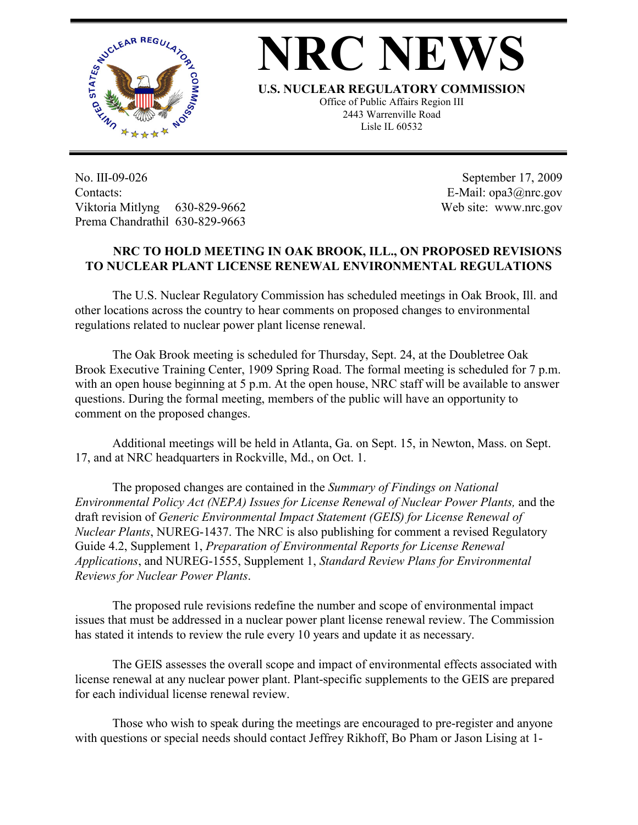

## **NRC NEW**

**U.S. NUCLEAR REGULATORY COMMISSION**

Office of Public Affairs Region III 2443 Warrenville Road Lisle IL 60532

No. III-09-026 Contacts: Viktoria Mitlyng 630-829-9662 Prema Chandrathil 630-829-9663

 September 17, 2009 E-Mail: opa3@nrc.gov Web site: www.nrc.gov

## **NRC TO HOLD MEETING IN OAK BROOK, ILL., ON PROPOSED REVISIONS TO NUCLEAR PLANT LICENSE RENEWAL ENVIRONMENTAL REGULATIONS**

The U.S. Nuclear Regulatory Commission has scheduled meetings in Oak Brook, Ill. and other locations across the country to hear comments on proposed changes to environmental regulations related to nuclear power plant license renewal.

The Oak Brook meeting is scheduled for Thursday, Sept. 24, at the Doubletree Oak Brook Executive Training Center, 1909 Spring Road. The formal meeting is scheduled for 7 p.m. with an open house beginning at 5 p.m. At the open house, NRC staff will be available to answer questions. During the formal meeting, members of the public will have an opportunity to comment on the proposed changes.

Additional meetings will be held in Atlanta, Ga. on Sept. 15, in Newton, Mass. on Sept. 17, and at NRC headquarters in Rockville, Md., on Oct. 1.

The proposed changes are contained in the *Summary of Findings on National Environmental Policy Act (NEPA) Issues for License Renewal of Nuclear Power Plants,* and the draft revision of *Generic Environmental Impact Statement (GEIS) for License Renewal of Nuclear Plants*, NUREG-1437. The NRC is also publishing for comment a revised Regulatory Guide 4.2, Supplement 1, *Preparation of Environmental Reports for License Renewal Applications*, and NUREG-1555, Supplement 1, *Standard Review Plans for Environmental Reviews for Nuclear Power Plants*.

The proposed rule revisions redefine the number and scope of environmental impact issues that must be addressed in a nuclear power plant license renewal review. The Commission has stated it intends to review the rule every 10 years and update it as necessary.

The GEIS assesses the overall scope and impact of environmental effects associated with license renewal at any nuclear power plant. Plant-specific supplements to the GEIS are prepared for each individual license renewal review.

Those who wish to speak during the meetings are encouraged to pre-register and anyone with questions or special needs should contact Jeffrey Rikhoff, Bo Pham or Jason Lising at 1